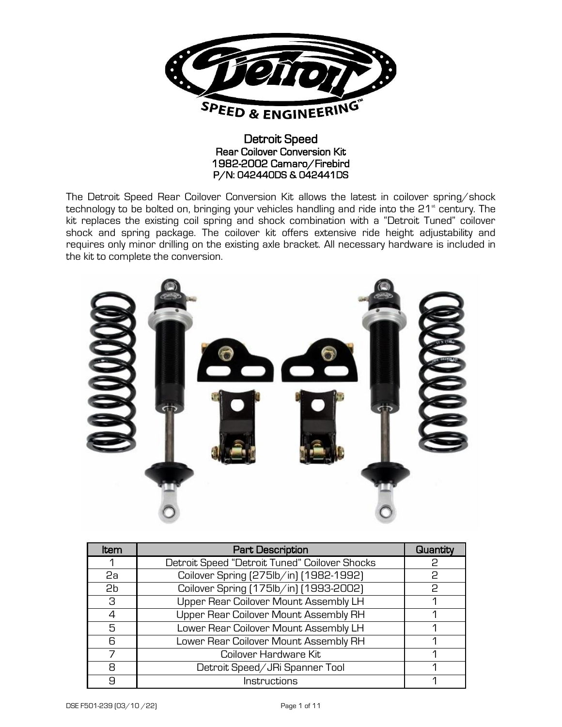

#### Detroit Speed Rear Coilover Conversion Kit 1982-2002 Camaro/Firebird P/N: 042440DS & 042441DS

The Detroit Speed Rear Coilover Conversion Kit allows the latest in coilover spring/shock technology to be bolted on, bringing your vehicles handling and ride into the  $21<sup>*</sup>$  century. The kit replaces the existing coil spring and shock combination with a "Detroit Tuned" coilover shock and spring package. The coilover kit offers extensive ride height adjustability and requires only minor drilling on the existing axle bracket. All necessary hardware is included in the kit to complete the conversion.



| Item           | <b>Part Description</b>                       | Quantity |
|----------------|-----------------------------------------------|----------|
|                | Detroit Speed "Detroit Tuned" Coilover Shocks | P        |
| 2a             | Coilover Spring [275lb/in] [1982-1992]        | P        |
| 2 <sub>b</sub> | Coilover Spring [175lb/in] [1993-2002]        | P        |
| З              | Upper Rear Coilover Mount Assembly LH         |          |
| $\Lambda$      | Upper Rear Coilover Mount Assembly RH         |          |
| 5              | Lower Rear Coilover Mount Assembly LH         |          |
| 6              | Lower Rear Coilover Mount Assembly RH         |          |
| 7              | Coilover Hardware Kit                         |          |
| 8              | Detroit Speed/JRi Spanner Tool                |          |
| Я              | Instructions                                  |          |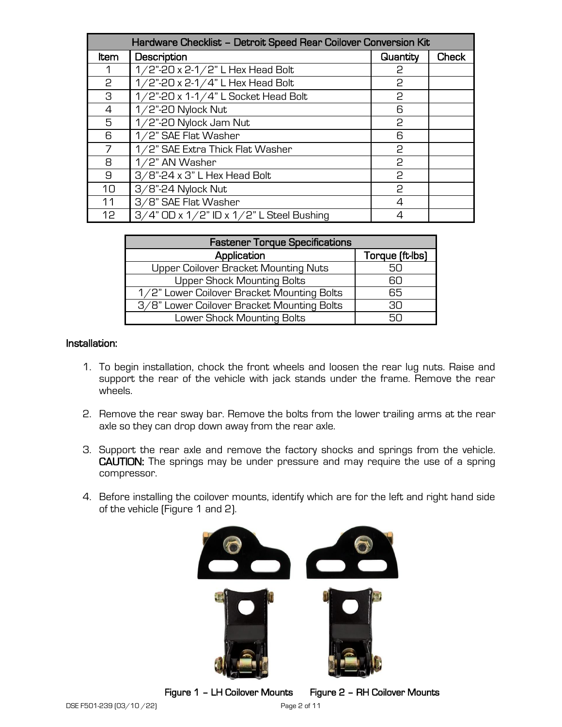| Hardware Checklist - Detroit Speed Rear Coilover Conversion Kit |                                                   |          |              |  |
|-----------------------------------------------------------------|---------------------------------------------------|----------|--------------|--|
| Item                                                            | Description                                       | Quantity | <b>Check</b> |  |
| 1                                                               | 1/2"-20 x 2-1/2" L Hex Head Bolt                  | P        |              |  |
| 2                                                               | 1/2"-20 x 2-1/4" L Hex Head Bolt                  | P        |              |  |
| 3                                                               | 1/2"-20 x 1-1/4" L Socket Head Bolt               | P        |              |  |
| 4                                                               | $1/2$ "-20 Nylock Nut                             | 6        |              |  |
| 5                                                               | 1/2"-20 Nylock Jam Nut                            | P        |              |  |
| 6                                                               | 1/2" SAE Flat Washer                              | 6        |              |  |
|                                                                 | 1/2" SAE Extra Thick Flat Washer                  | 2        |              |  |
| 8                                                               | 1/2" AN Washer                                    | P        |              |  |
| 9                                                               | $3/8$ "-24 x 3" L Hex Head Bolt                   | P        |              |  |
| 10                                                              | 3/8"-24 Nylock Nut                                | P        |              |  |
| 11                                                              | 3/8" SAE Flat Washer                              | 4        |              |  |
| 12                                                              | $3/4$ " OD x $1/2$ " ID x $1/2$ " L Steel Bushing | 4        |              |  |

| <b>Fastener Torque Specifications</b>      |                 |  |  |
|--------------------------------------------|-----------------|--|--|
| Application                                | Torque (ft-lbs) |  |  |
| Upper Coilover Bracket Mounting Nuts       | 50              |  |  |
| <b>Upper Shock Mounting Bolts</b>          | 60              |  |  |
| 1/2" Lower Coilover Bracket Mounting Bolts | 65              |  |  |
| 3/8" Lower Coilover Bracket Mounting Bolts | RN.             |  |  |
| Lower Shock Mounting Bolts                 | 50              |  |  |

#### Installation:

- 1. To begin installation, chock the front wheels and loosen the rear lug nuts. Raise and support the rear of the vehicle with jack stands under the frame. Remove the rear wheels.
- 2. Remove the rear sway bar. Remove the bolts from the lower trailing arms at the rear axle so they can drop down away from the rear axle.
- 3. Support the rear axle and remove the factory shocks and springs from the vehicle. CAUTION: The springs may be under pressure and may require the use of a spring compressor.
- 4. Before installing the coilover mounts, identify which are for the left and right hand side of the vehicle (Figure 1 and 2).



Figure 1 – LH Coilover Mounts Figure 2 – RH Coilover Mounts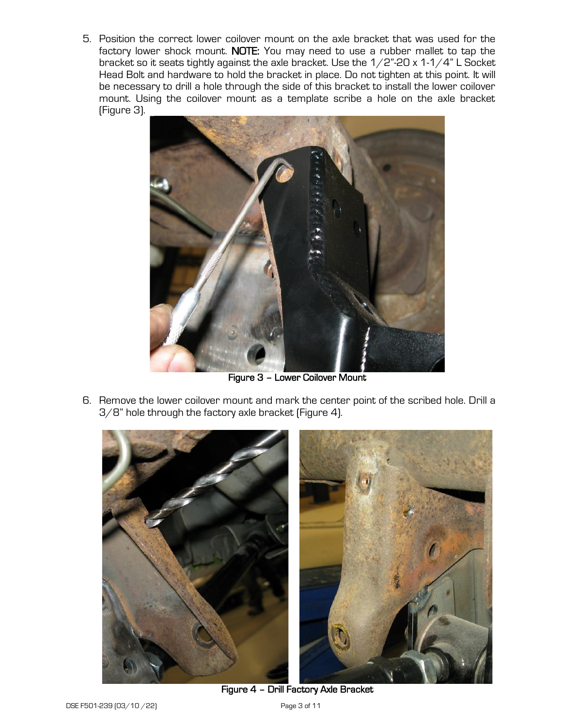5. Position the correct lower coilover mount on the axle bracket that was used for the factory lower shock mount. NOTE: You may need to use a rubber mallet to tap the bracket so it seats tightly against the axle bracket. Use the  $1/2$ "-20 x  $1-1/4$ " L Socket Head Bolt and hardware to hold the bracket in place. Do not tighten at this point. It will be necessary to drill a hole through the side of this bracket to install the lower coilover mount. Using the coilover mount as a template scribe a hole on the axle bracket (Figure 3).



Figure 3 – Lower Coilover Mount

6. Remove the lower coilover mount and mark the center point of the scribed hole. Drill a 3/8" hole through the factory axle bracket (Figure 4).



Figure 4 – Drill Factory Axle Bracket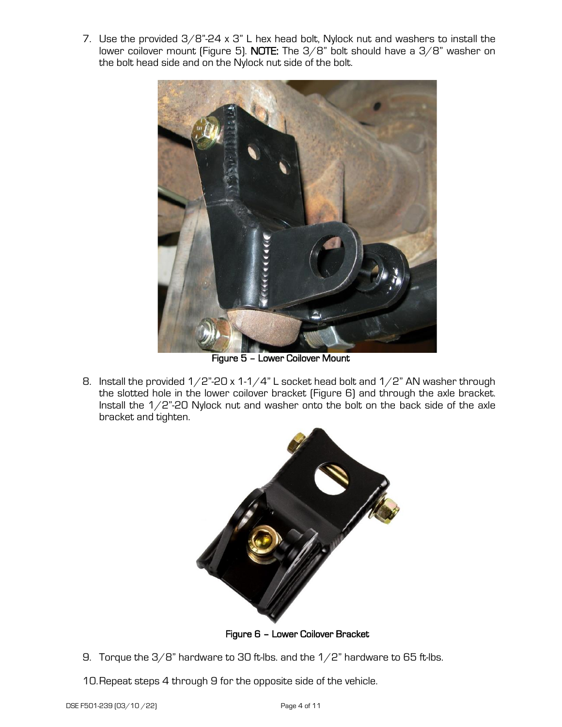7. Use the provided 3/8"-24 x 3" L hex head bolt, Nylock nut and washers to install the lower coilover mount (Figure 5). NOTE: The 3/8" bolt should have a 3/8" washer on the bolt head side and on the Nylock nut side of the bolt.



Figure 5 – Lower Coilover Mount

8. Install the provided  $1/2$ "-20 x 1-1/4" L socket head bolt and  $1/2$ " AN washer through the slotted hole in the lower coilover bracket (Figure 6) and through the axle bracket. Install the 1/2"-20 Nylock nut and washer onto the bolt on the back side of the axle bracket and tighten.



Figure 6 – Lower Coilover Bracket

- 9. Torque the  $3/8$ " hardware to 30 ft-lbs. and the  $1/2$ " hardware to 65 ft-lbs.
- 10.Repeat steps 4 through 9 for the opposite side of the vehicle.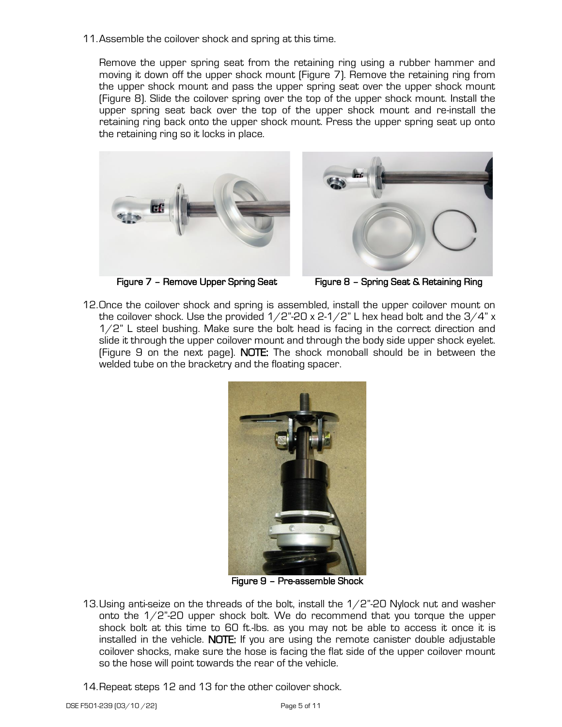11.Assemble the coilover shock and spring at this time.

Remove the upper spring seat from the retaining ring using a rubber hammer and moving it down off the upper shock mount (Figure 7). Remove the retaining ring from the upper shock mount and pass the upper spring seat over the upper shock mount (Figure 8). Slide the coilover spring over the top of the upper shock mount. Install the upper spring seat back over the top of the upper shock mount and re-install the retaining ring back onto the upper shock mount. Press the upper spring seat up onto the retaining ring so it locks in place.







Figure 7 – Remove Upper Spring Seat Figure 8 – Spring Seat & Retaining Ring

12.Once the coilover shock and spring is assembled, install the upper coilover mount on the coilover shock. Use the provided  $1/2$ "-20 x 2-1/2" L hex head bolt and the  $3/4$ " x 1/2" L steel bushing. Make sure the bolt head is facing in the correct direction and slide it through the upper coilover mount and through the body side upper shock eyelet. (Figure 9 on the next page). NOTE: The shock monoball should be in between the welded tube on the bracketry and the floating spacer.



Figure 9 – Pre-assemble Shock

- 13. Using anti-seize on the threads of the bolt, install the  $1/2$ "-20 Nylock nut and washer onto the  $1/2$ "-20 upper shock bolt. We do recommend that you torque the upper shock bolt at this time to 60 ft.-lbs. as you may not be able to access it once it is installed in the vehicle. NOTE: If you are using the remote canister double adjustable coilover shocks, make sure the hose is facing the flat side of the upper coilover mount so the hose will point towards the rear of the vehicle.
- 14.Repeat steps 12 and 13 for the other coilover shock.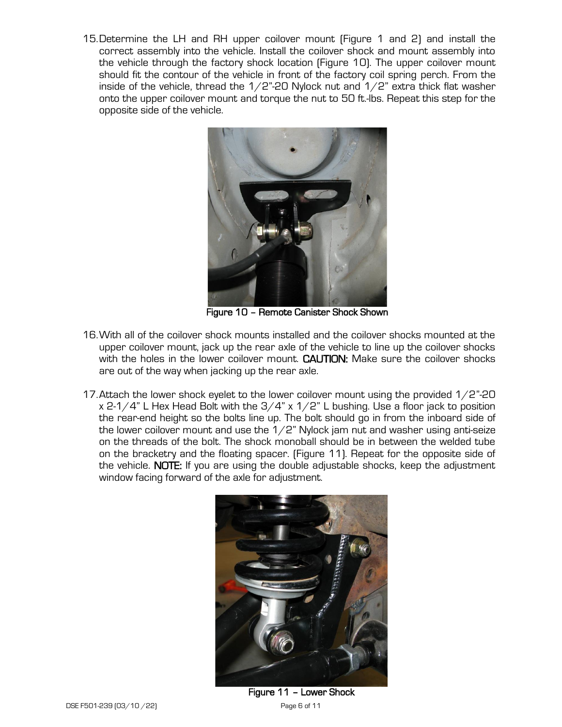15.Determine the LH and RH upper coilover mount (Figure 1 and 2) and install the correct assembly into the vehicle. Install the coilover shock and mount assembly into the vehicle through the factory shock location (Figure 10). The upper coilover mount should fit the contour of the vehicle in front of the factory coil spring perch. From the inside of the vehicle, thread the  $1/2$ "-20 Nylock nut and  $1/2$ " extra thick flat washer onto the upper coilover mount and torque the nut to 50 ft.-lbs. Repeat this step for the opposite side of the vehicle.



 $\begin{array}{c} \hline \end{array}$ Figure 10 – Remote Canister Shock Shown

- 16.With all of the coilover shock mounts installed and the coilover shocks mounted at the upper coilover mount, jack up the rear axle of the vehicle to line up the coilover shocks with the holes in the lower coilover mount. CAUTION: Make sure the coilover shocks are out of the way when jacking up the rear axle.
- 17.Attach the lower shock eyelet to the lower coilover mount using the provided 1/2"-20  $x$  2-1/4" L Hex Head Bolt with the  $3/4$ " x 1/2" L bushing. Use a floor jack to position the rear-end height so the bolts line up. The bolt should go in from the inboard side of the lower coilover mount and use the  $1/2$ " Nylock jam nut and washer using anti-seize on the threads of the bolt. The shock monoball should be in between the welded tube on the bracketry and the floating spacer. (Figure 11). Repeat for the opposite side of the vehicle. NOTE: If you are using the double adjustable shocks, keep the adjustment window facing forward of the axle for adjustment.



Figure 11 – Lower Shock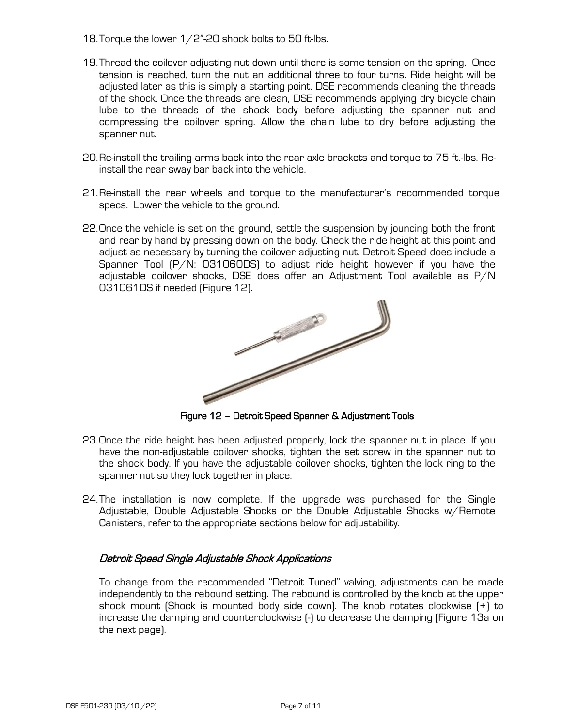- 18. Torque the lower  $1/2$ "-20 shock bolts to 50 ft-lbs.
- 19.Thread the coilover adjusting nut down until there is some tension on the spring. Once tension is reached, turn the nut an additional three to four turns. Ride height will be adjusted later as this is simply a starting point. DSE recommends cleaning the threads of the shock. Once the threads are clean, DSE recommends applying dry bicycle chain lube to the threads of the shock body before adjusting the spanner nut and compressing the coilover spring. Allow the chain lube to dry before adjusting the spanner nut.
- 20.Re-install the trailing arms back into the rear axle brackets and torque to 75 ft.-lbs. Reinstall the rear sway bar back into the vehicle.
- 21.Re-install the rear wheels and torque to the manufacturer's recommended torque specs. Lower the vehicle to the ground.
- 22.Once the vehicle is set on the ground, settle the suspension by jouncing both the front and rear by hand by pressing down on the body. Check the ride height at this point and adjust as necessary by turning the coilover adjusting nut. Detroit Speed does include a Spanner Tool (P/N: 031060DS) to adjust ride height however if you have the adjustable coilover shocks, DSE does offer an Adjustment Tool available as P/N



Figure 12 – Detroit Speed Spanner & Adjustment Tools

- 23.Once the ride height has been adjusted properly, lock the spanner nut in place. If you have the non-adjustable coilover shocks, tighten the set screw in the spanner nut to the shock body. If you have the adjustable coilover shocks, tighten the lock ring to the spanner nut so they lock together in place.
- 24.The installation is now complete. If the upgrade was purchased for the Single Adjustable, Double Adjustable Shocks or the Double Adjustable Shocks w/Remote Canisters, refer to the appropriate sections below for adjustability.

### Detroit Speed Single Adjustable Shock Applications

To change from the recommended "Detroit Tuned" valving, adjustments can be made independently to the rebound setting. The rebound is controlled by the knob at the upper shock mount (Shock is mounted body side down). The knob rotates clockwise (+) to increase the damping and counterclockwise (-) to decrease the damping (Figure 13a on the next page).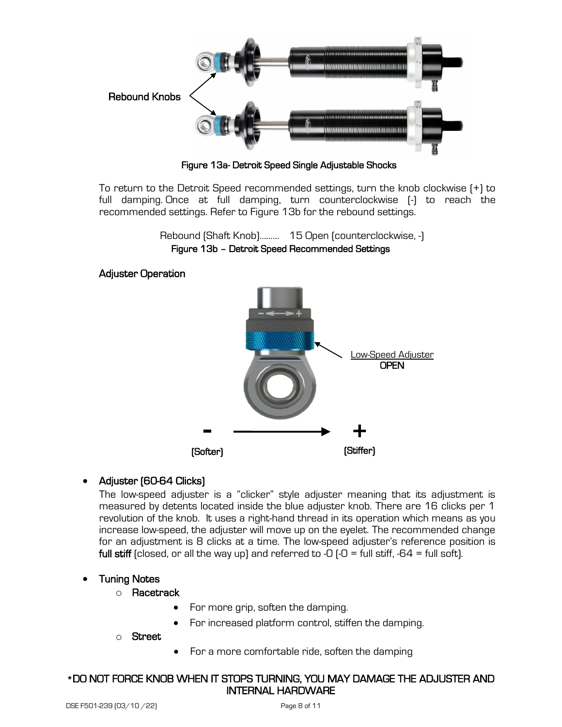

Figure 13a- Detroit Speed Single Adjustable Shocks

To return to the Detroit Speed recommended settings, turn the knob clockwise (+) to full damping. Once at full damping, turn counterclockwise (-) to reach the recommended settings. Refer to Figure 13b for the rebound settings.

> Rebound (Shaft Knob)……… 15 Open (counterclockwise, -) Figure 13b – Detroit Speed Recommended Settings

### Adjuster Operation



# • Adjuster (60-64 Clicks)

The low-speed adjuster is a "clicker" style adjuster meaning that its adjustment is measured by detents located inside the blue adjuster knob. There are 16 clicks per 1 revolution of the knob. It uses a right-hand thread in its operation which means as you increase low-speed, the adjuster will move up on the eyelet. The recommended change for an adjustment is 8 clicks at a time. The low-speed adjuster's reference position is full stiff (closed, or all the way up) and referred to -0  $\left(-0\right)$  = full stiff, -64 = full soft).

### • Tuning Notes

### o Racetrack

- For more grip, soften the damping.
- For increased platform control, stiffen the damping.

o Street

• For a more comfortable ride, soften the damping

### \*DO NOT FORCE KNOB WHEN IT STOPS TURNING, YOU MAY DAMAGE THE ADJUSTER AND INTERNAL HARDWARE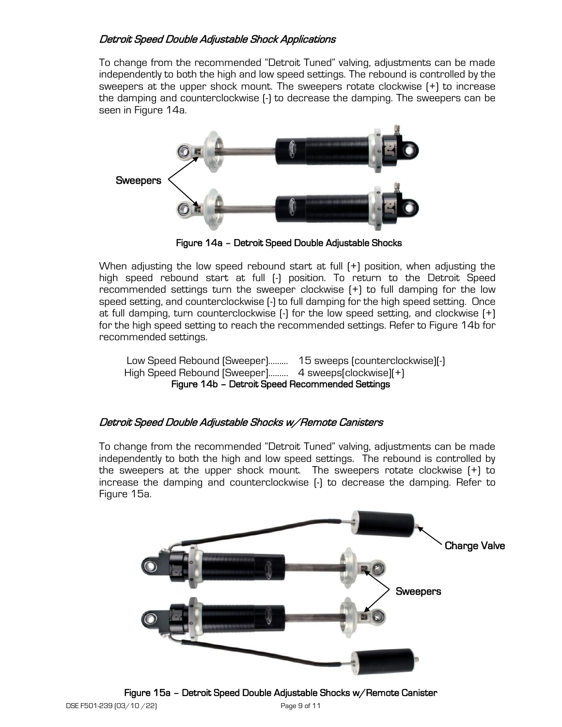## Detroit Speed Double Adjustable Shock Applications

To change from the recommended "Detroit Tuned" valving, adjustments can be made independently to both the high and low speed settings. The rebound is controlled by the sweepers at the upper shock mount. The sweepers rotate clockwise (+) to increase the damping and counterclockwise (-) to decrease the damping. The sweepers can be seen in Figure 14a.



Figure 14a – Detroit Speed Double Adjustable Shocks

When adjusting the low speed rebound start at full  $[+]$  position, when adjusting the high speed rebound start at full (-) position. To return to the Detroit Speed recommended settings turn the sweeper clockwise (+) to full damping for the low speed setting, and counterclockwise (-) to full damping for the high speed setting. Once at full damping, turn counterclockwise (-) for the low speed setting, and clockwise (+) for the high speed setting to reach the recommended settings. Refer to Figure 14b for recommended settings.

Low Speed Rebound (Sweeper)……… 15 sweeps (counterclockwise)(-) High Speed Rebound [Sweeper]……… 4 sweeps[clockwise](+) Figure 14b – Detroit Speed Recommended Settings

### Detroit Speed Double Adjustable Shocks w/Remote Canisters

To change from the recommended "Detroit Tuned" valving, adjustments can be made independently to both the high and low speed settings. The rebound is controlled by the sweepers at the upper shock mount. The sweepers rotate clockwise (+) to increase the damping and counterclockwise (-) to decrease the damping. Refer to Figure 15a.



Figure 15a – Detroit Speed Double Adjustable Shocks w/Remote Canister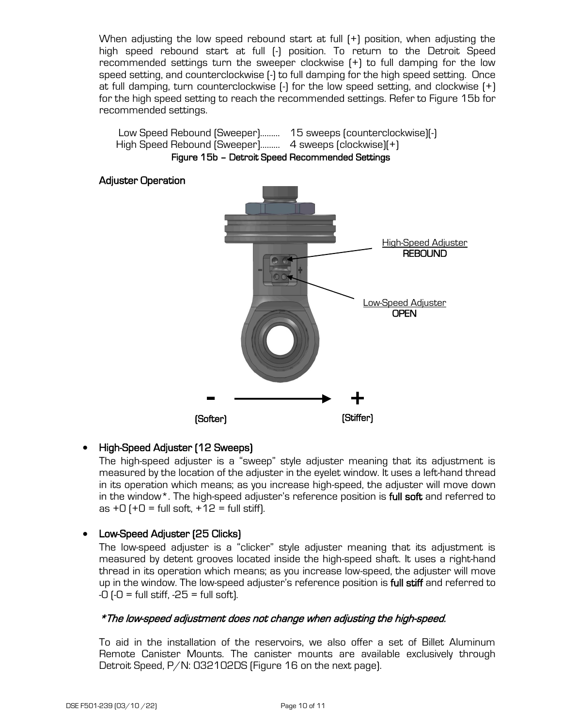When adjusting the low speed rebound start at full (+) position, when adjusting the high speed rebound start at full (-) position. To return to the Detroit Speed recommended settings turn the sweeper clockwise (+) to full damping for the low speed setting, and counterclockwise (-) to full damping for the high speed setting. Once at full damping, turn counterclockwise (-) for the low speed setting, and clockwise (+) for the high speed setting to reach the recommended settings. Refer to Figure 15b for recommended settings.



### • High-Speed Adjuster (12 Sweeps)

The high-speed adjuster is a "sweep" style adjuster meaning that its adjustment is measured by the location of the adjuster in the eyelet window. It uses a left-hand thread in its operation which means; as you increase high-speed, the adjuster will move down in the window\*. The high-speed adjuster's reference position is **full soft** and referred to as  $+0$  ( $+0$  = full soft,  $+12$  = full stiff).

### • Low-Speed Adjuster (25 Clicks)

The low-speed adjuster is a "clicker" style adjuster meaning that its adjustment is measured by detent grooves located inside the high-speed shaft. It uses a right-hand thread in its operation which means; as you increase low-speed, the adjuster will move up in the window. The low-speed adjuster's reference position is full stiff and referred to  $-0$  ( $-0$  = full stiff,  $-25$  = full soft).

#### \*The low-speed adjustment does not change when adjusting the high-speed.

To aid in the installation of the reservoirs, we also offer a set of Billet Aluminum Remote Canister Mounts. The canister mounts are available exclusively through Detroit Speed, P/N: 032102DS (Figure 16 on the next page).